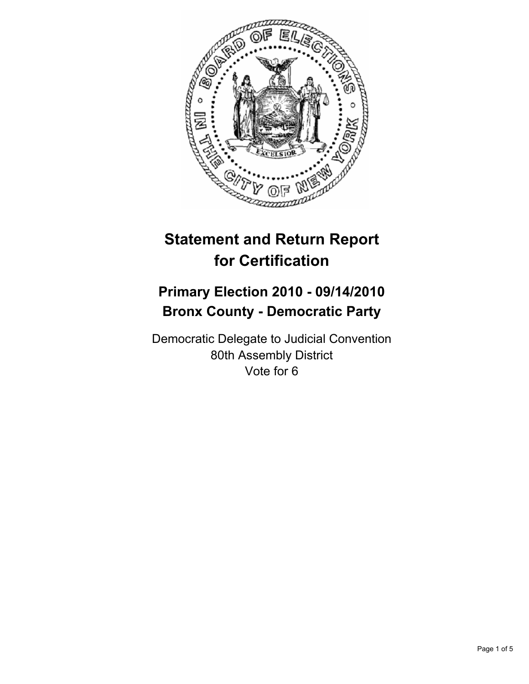

# **Statement and Return Report for Certification**

## **Primary Election 2010 - 09/14/2010 Bronx County - Democratic Party**

Democratic Delegate to Judicial Convention 80th Assembly District Vote for 6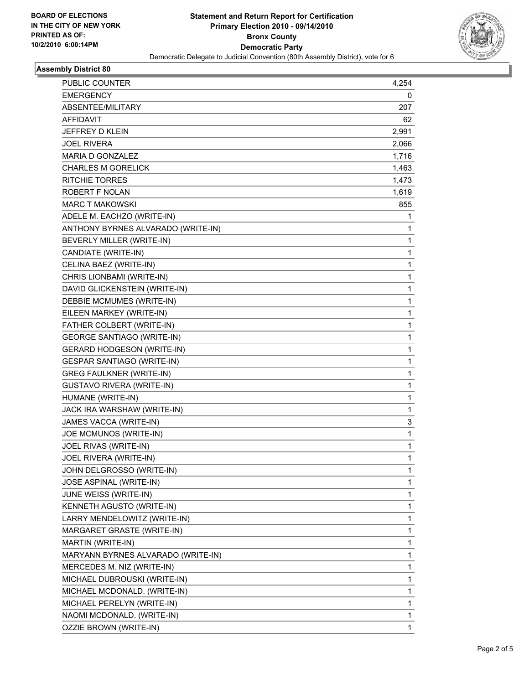

### **Assembly District 80**

| PUBLIC COUNTER                     | 4,254        |
|------------------------------------|--------------|
| <b>EMERGENCY</b>                   | 0            |
| ABSENTEE/MILITARY                  | 207          |
| AFFIDAVIT                          | 62           |
| JEFFREY D KLEIN                    | 2,991        |
| <b>JOEL RIVERA</b>                 | 2,066        |
| <b>MARIA D GONZALEZ</b>            | 1,716        |
| <b>CHARLES M GORELICK</b>          | 1,463        |
| <b>RITCHIE TORRES</b>              | 1,473        |
| ROBERT F NOLAN                     | 1,619        |
| <b>MARC T MAKOWSKI</b>             | 855          |
| ADELE M. EACHZO (WRITE-IN)         | 1            |
| ANTHONY BYRNES ALVARADO (WRITE-IN) | 1            |
| BEVERLY MILLER (WRITE-IN)          | 1            |
| CANDIATE (WRITE-IN)                | 1            |
| CELINA BAEZ (WRITE-IN)             | 1            |
| CHRIS LIONBAMI (WRITE-IN)          | 1            |
| DAVID GLICKENSTEIN (WRITE-IN)      | 1            |
| DEBBIE MCMUMES (WRITE-IN)          | 1            |
| EILEEN MARKEY (WRITE-IN)           | 1            |
| FATHER COLBERT (WRITE-IN)          | 1            |
| <b>GEORGE SANTIAGO (WRITE-IN)</b>  | 1            |
| <b>GERARD HODGESON (WRITE-IN)</b>  | 1            |
| <b>GESPAR SANTIAGO (WRITE-IN)</b>  | 1            |
| <b>GREG FAULKNER (WRITE-IN)</b>    | 1            |
| <b>GUSTAVO RIVERA (WRITE-IN)</b>   | 1            |
| HUMANE (WRITE-IN)                  | 1            |
| JACK IRA WARSHAW (WRITE-IN)        | 1            |
| JAMES VACCA (WRITE-IN)             | 3            |
| JOE MCMUNOS (WRITE-IN)             | 1            |
| JOEL RIVAS (WRITE-IN)              | 1            |
| JOEL RIVERA (WRITE-IN)             | $\mathbf{1}$ |
| JOHN DELGROSSO (WRITE-IN)          | 1            |
| JOSE ASPINAL (WRITE-IN)            | 1            |
| JUNE WEISS (WRITE-IN)              | 1            |
| KENNETH AGUSTO (WRITE-IN)          | 1            |
| LARRY MENDELOWITZ (WRITE-IN)       | 1            |
| MARGARET GRASTE (WRITE-IN)         | 1            |
| MARTIN (WRITE-IN)                  | 1            |
| MARYANN BYRNES ALVARADO (WRITE-IN) | 1            |
| MERCEDES M. NIZ (WRITE-IN)         | 1            |
| MICHAEL DUBROUSKI (WRITE-IN)       | 1            |
| MICHAEL MCDONALD. (WRITE-IN)       | 1            |
| MICHAEL PERELYN (WRITE-IN)         | 1            |
| NAOMI MCDONALD. (WRITE-IN)         | 1            |
| OZZIE BROWN (WRITE-IN)             | 1            |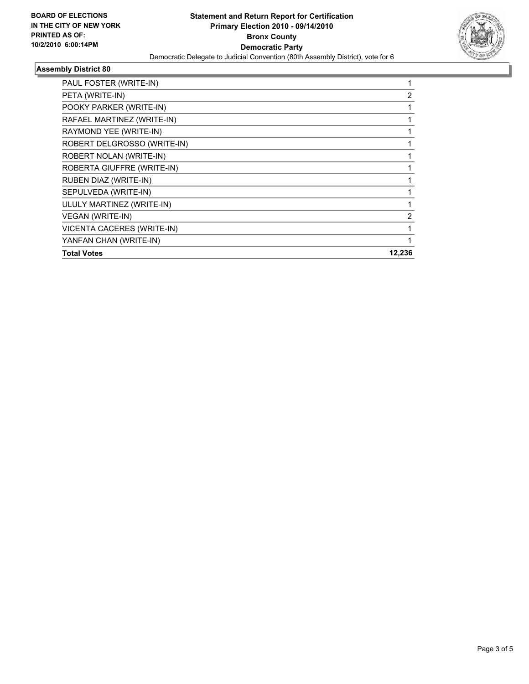

## **Assembly District 80**

| PAUL FOSTER (WRITE-IN)            |        |
|-----------------------------------|--------|
| PETA (WRITE-IN)                   | 2      |
| POOKY PARKER (WRITE-IN)           |        |
| RAFAEL MARTINEZ (WRITE-IN)        |        |
| RAYMOND YEE (WRITE-IN)            |        |
| ROBERT DELGROSSO (WRITE-IN)       |        |
| ROBERT NOLAN (WRITE-IN)           |        |
| ROBERTA GIUFFRE (WRITE-IN)        |        |
| RUBEN DIAZ (WRITE-IN)             |        |
| SEPULVEDA (WRITE-IN)              |        |
| ULULY MARTINEZ (WRITE-IN)         |        |
| <b>VEGAN (WRITE-IN)</b>           | 2      |
| <b>VICENTA CACERES (WRITE-IN)</b> |        |
| YANFAN CHAN (WRITE-IN)            |        |
| <b>Total Votes</b>                | 12,236 |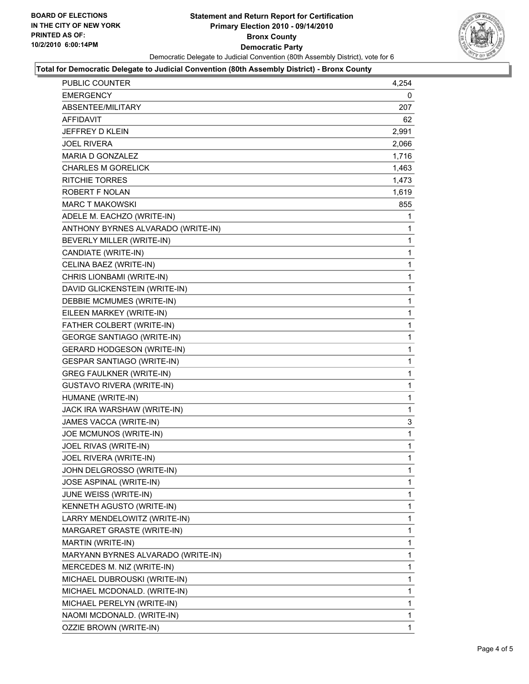

#### **Total for Democratic Delegate to Judicial Convention (80th Assembly District) - Bronx County**

| PUBLIC COUNTER                     | 4,254        |
|------------------------------------|--------------|
| EMERGENCY                          | 0            |
| ABSENTEE/MILITARY                  | 207          |
| AFFIDAVIT                          | 62           |
| JEFFREY D KLEIN                    | 2,991        |
| <b>JOEL RIVERA</b>                 | 2,066        |
| MARIA D GONZALEZ                   | 1,716        |
| CHARLES M GORELICK                 | 1,463        |
| <b>RITCHIE TORRES</b>              | 1,473        |
| ROBERT F NOLAN                     | 1,619        |
| MARC T MAKOWSKI                    | 855          |
| ADELE M. EACHZO (WRITE-IN)         | 1            |
| ANTHONY BYRNES ALVARADO (WRITE-IN) | 1            |
| BEVERLY MILLER (WRITE-IN)          | 1            |
| CANDIATE (WRITE-IN)                | 1            |
| CELINA BAEZ (WRITE-IN)             | 1            |
| CHRIS LIONBAMI (WRITE-IN)          | 1            |
| DAVID GLICKENSTEIN (WRITE-IN)      | 1            |
| DEBBIE MCMUMES (WRITE-IN)          | 1            |
| EILEEN MARKEY (WRITE-IN)           | 1            |
| FATHER COLBERT (WRITE-IN)          | 1            |
| <b>GEORGE SANTIAGO (WRITE-IN)</b>  | 1            |
| <b>GERARD HODGESON (WRITE-IN)</b>  | 1            |
| <b>GESPAR SANTIAGO (WRITE-IN)</b>  | 1            |
| <b>GREG FAULKNER (WRITE-IN)</b>    | 1            |
| <b>GUSTAVO RIVERA (WRITE-IN)</b>   | 1            |
| HUMANE (WRITE-IN)                  | 1            |
| JACK IRA WARSHAW (WRITE-IN)        | 1            |
| JAMES VACCA (WRITE-IN)             | 3            |
| JOE MCMUNOS (WRITE-IN)             | 1            |
| JOEL RIVAS (WRITE-IN)              | 1            |
| JOEL RIVERA (WRITE-IN)             | 1            |
| JOHN DELGROSSO (WRITE-IN)          | 1            |
| JOSE ASPINAL (WRITE-IN)            | $\mathbf{1}$ |
| JUNE WEISS (WRITE-IN)              | 1            |
| KENNETH AGUSTO (WRITE-IN)          | 1            |
| LARRY MENDELOWITZ (WRITE-IN)       | 1            |
| MARGARET GRASTE (WRITE-IN)         | 1            |
| MARTIN (WRITE-IN)                  | 1            |
| MARYANN BYRNES ALVARADO (WRITE-IN) | 1            |
| MERCEDES M. NIZ (WRITE-IN)         | 1            |
| MICHAEL DUBROUSKI (WRITE-IN)       | 1            |
| MICHAEL MCDONALD. (WRITE-IN)       | 1            |
| MICHAEL PERELYN (WRITE-IN)         | 1            |
| NAOMI MCDONALD. (WRITE-IN)         | 1            |
| OZZIE BROWN (WRITE-IN)             | $\mathbf{1}$ |
|                                    |              |